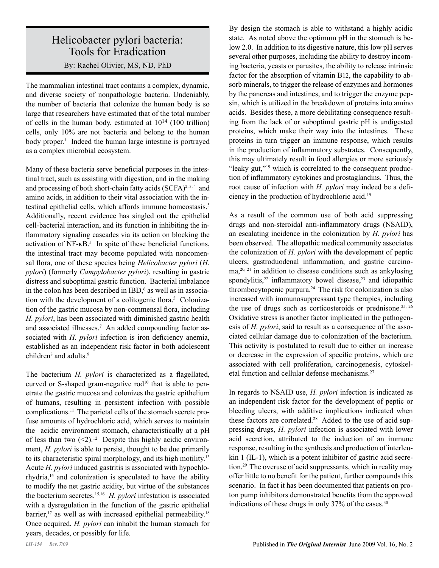## Helicobacter pylori bacteria: Tools for Eradication

By: Rachel Olivier, MS, ND, PhD

The mammalian intestinal tract contains a complex, dynamic, and diverse society of nonpathologic bacteria. Undeniably, the number of bacteria that colonize the human body is so large that researchers have estimated that of the total number of cells in the human body, estimated at  $10^{14}$  (100 trillion) cells, only 10% are not bacteria and belong to the human body proper.<sup>1</sup> Indeed the human large intestine is portrayed as a complex microbial ecosystem.

Many of these bacteria serve beneficial purposes in the intestinal tract, such as assisting with digestion, and in the making and processing of both short-chain fatty acids (SCFA)<sup>2, 3, 4</sup> and amino acids, in addition to their vital association with the intestinal epithelial cells, which affords immune homeostasis.<sup>5</sup> Additionally, recent evidence has singled out the epithelial cell-bacterial interaction, and its function in inhibiting the inflammatory signaling cascades via its action on blocking the activation of  $NF-\kappa B$ <sup>5</sup>. In spite of these beneficial functions, the intestinal tract may become populated with noncomensal flora, one of these species being *Helicobacter pylori* (*H. pylori*) (formerly *Campylobacter pylori*), resulting in gastric distress and suboptimal gastric function. Bacterial imbalance in the colon has been described in  $IBD<sub>0</sub><sup>6</sup>$  as well as in association with the development of a colitogenic flora.<sup>5</sup> Colonization of the gastric mucosa by non-commensal flora, including *H. pylori*, has been associated with diminished gastric health and associated illnesses.<sup>7</sup> An added compounding factor associated with *H. pylori* infection is iron deficiency anemia, established as an independent risk factor in both adolescent children<sup>8</sup> and adults.<sup>9</sup>

The bacterium *H. pylori* is characterized as a flagellated, curved or S-shaped gram-negative rod<sup>10</sup> that is able to penetrate the gastric mucosa and colonizes the gastric epithelium of humans, resulting in persistent infection with possible complications.11 The parietal cells of the stomach secrete profuse amounts of hydrochloric acid, which serves to maintain the acidic environment stomach, characteristically at a pH of less than two  $(\leq 2)^{12}$  Despite this highly acidic environment, *H. pylori* is able to persist, thought to be due primarily to its characteristic spiral morphology, and its high motility.13 Acute *H. pylori* induced gastritis is associated with hypochlorhydria,14 and colonization is speculated to have the ability to modify the net gastric acidity, but virtue of the substances the bacterium secretes.15,16 *H. pylori* infestation is associated with a dysregulation in the function of the gastric epithelial barrier, $17$  as well as with increased epithelial permeability.<sup>18</sup> Once acquired, *H. pylori* can inhabit the human stomach for years, decades, or possibly for life.

By design the stomach is able to withstand a highly acidic state. As noted above the optimum pH in the stomach is below 2.0. In addition to its digestive nature, this low pH serves several other purposes, including the ability to destroy incoming bacteria, yeasts or parasites, the ability to release intrinsic factor for the absorption of vitamin B12, the capability to absorb minerals, to trigger the release of enzymes and hormones by the pancreas and intestines, and to trigger the enzyme pepsin, which is utilized in the breakdown of proteins into amino acids. Besides these, a more debilitating consequence resulting from the lack of or suboptimal gastric pH is undigested proteins, which make their way into the intestines. These proteins in turn trigger an immune response, which results in the production of inflammatory substrates. Consequently, this may ultimately result in food allergies or more seriously "leaky gut,"<sup>19</sup> which is correlated to the consequent production of inflammatory cytokines and prostaglandins. Thus, the root cause of infection with *H. pylori* may indeed be a deficiency in the production of hydrochloric acid.19

As a result of the common use of both acid suppressing drugs and non-steroidal anti-inflammatory drugs (NSAID), an escalating incidence in the colonization by *H. pylori* has been observed. The allopathic medical community associates the colonization of *H. pylori* with the development of peptic ulcers, gastroduodenal inflammation, and gastric carcino $ma<sub>20, 21</sub>$  in addition to disease conditions such as ankylosing spondylitis, $22$  inflammatory bowel disease, $23$  and idiopathic thrombocytopenic purpura.24 The risk for colonization is also increased with immunosuppressant type therapies, including the use of drugs such as corticosteroids or prednisone.<sup>25, 26</sup> Oxidative stress is another factor implicated in the pathogenesis of *H. pylori*, said to result as a consequence of the associated cellular damage due to colonization of the bacterium. This activity is postulated to result due to either an increase or decrease in the expression of specific proteins, which are associated with cell proliferation, carcinogenesis, cytoskeletal function and cellular defense mechanisms.27

In regards to NSAID use, *H. pylori* infection is indicated as an independent risk factor for the development of peptic or bleeding ulcers, with additive implications indicated when these factors are correlated.<sup>28</sup> Added to the use of acid suppressing drugs, *H. pylori* infection is associated with lower acid secretion, attributed to the induction of an immune response, resulting in the synthesis and production of interleukin 1 (IL-1), which is a potent inhibitor of gastric acid secretion.29 The overuse of acid suppressants, which in reality may offer little to no benefit for the patient, further compounds this scenario. In fact it has been documented that patients on proton pump inhibitors demonstrated benefits from the approved indications of these drugs in only 37% of the cases.<sup>30</sup>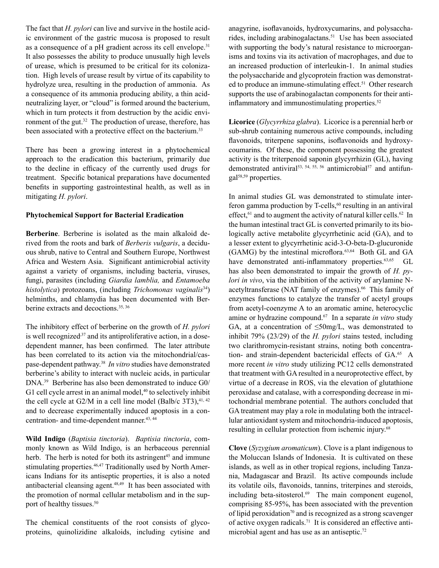The fact that *H. pylori* can live and survive in the hostile acidic environment of the gastric mucosa is proposed to result as a consequence of a pH gradient across its cell envelope.<sup>31</sup> It also possesses the ability to produce unusually high levels of urease, which is presumed to be critical for its colonization. High levels of urease result by virtue of its capability to hydrolyze urea, resulting in the production of ammonia. As a consequence of its ammonia producing ability, a thin acidneutralizing layer, or "cloud" is formed around the bacterium, which in turn protects it from destruction by the acidic environment of the gut.<sup>32</sup> The production of urease, therefore, has been associated with a protective effect on the bacterium.<sup>33</sup>

There has been a growing interest in a phytochemical approach to the eradication this bacterium, primarily due to the decline in efficacy of the currently used drugs for treatment. Specific botanical preparations have documented benefits in supporting gastrointestinal health, as well as in mitigating *H. pylori*.

## **Phytochemical Support for Bacterial Eradication**

**Berberine**. Berberine is isolated as the main alkaloid derived from the roots and bark of *Berberis vulgaris*, a deciduous shrub, native to Central and Southern Europe, Northwest Africa and Western Asia. Significant antimicrobial activity against a variety of organisms, including bacteria, viruses, fungi, parasites (including *Giardia lamblia,* and *Entamoeba histolytica*) protozoans, (including *Trichomonas vaginalis*34) helminths, and chlamydia has been documented with Berberine extracts and decoctions.<sup>35, 36</sup>

The inhibitory effect of berberine on the growth of *H. pylori* is well recognized,<sup>37</sup> and its antiproliferative action, in a dosedependent manner, has been confirmed. The later attribute has been correlated to its action via the mitochondrial/caspase-dependent pathway.38 *In vitro* studies have demonstrated berberine's ability to interact with nucleic acids, in particular DNA.39 Berberine has also been demonstrated to induce G0/ G1 cell cycle arrest in an animal model,<sup>40</sup> to selectively inhibit the cell cycle at  $G2/M$  in a cell line model (Balb/c 3T3),  $41, 42$ and to decrease experimentally induced apoptosis in a concentration- and time-dependent manner.<sup>43, 44</sup>

**Wild Indigo** (*Baptisia tinctoria*). *Baptisia tinctoria*, commonly known as Wild Indigo, is an herbaceous perennial herb. The herb is noted for both its astringent<sup>45</sup> and immune stimulating properties.<sup>46,47</sup> Traditionally used by North Americans Indians for its antiseptic properties, it is also a noted antibacterial cleansing agent.48,49 It has been associated with the promotion of normal cellular metabolism and in the support of healthy tissues.<sup>50</sup>

The chemical constituents of the root consists of glycoproteins, quinolizidine alkaloids, including cytisine and

anagyrine, isoflavanoids, hydroxycumarins, and polysaccharides, including arabinogalactans.51 Use has been associated with supporting the body's natural resistance to microorganisms and toxins via its activation of macrophages, and due to an increased production of interleukin-1. In animal studies the polysaccharide and glycoprotein fraction was demonstrated to produce an immune-stimulating effect.<sup>51</sup> Other research supports the use of arabinogalactan components for their antiinflammatory and immunostimulating properties.<sup>52</sup>

**Licorice** (*Glycyrrhiza glabra*). Licorice is a perennial herb or sub-shrub containing numerous active compounds, including flavonoids, triterpene saponins, isoflavonoids and hydroxycoumarins. Of these, the component possessing the greatest activity is the triterpenoid saponin glycyrrhizin (GL), having demonstrated antiviral<sup>53, 54, 55, 56</sup> antimicrobial<sup>57</sup> and antifungal58,59 properties.

In animal studies GL was demonstrated to stimulate interferon gamma production by T-cells, $60$  resulting in an antiviral effect,  $61$  and to augment the activity of natural killer cells.  $62$  In the human intestinal tract GL is converted primarily to its biologically active metabolite glycyrrhetinic acid (GA), and to a lesser extent to glycyrrhetinic acid-3-O-beta-D-glucuronide (GAMG) by the intestinal microflora.63,64 Both GL and GA have demonstrated anti-inflammatory properties.<sup>63,65</sup> GL has also been demonstrated to impair the growth of *H. pylori in vivo*, via the inhibition of the activity of arylamine Nacetyltransferase (NAT family of enzymes).<sup>66</sup> This family of enzymes functions to catalyze the transfer of acetyl groups from acetyl-coenzyme A to an aromatic amine, heterocyclic amine or hydrazine compound.67 In a separate *in vitro* study GA, at a concentration of  $\leq$ 50mg/L, was demonstrated to inhibit 79% (23/29) of the *H. pylori* stains tested, including two clarithromycin-resistant strains, noting both concentration- and strain-dependent bactericidal effects of GA.<sup>65</sup> A more recent *in vitro* study utilizing PC12 cells demonstrated that treatment with GA resulted in a neuroprotective effect, by virtue of a decrease in ROS, via the elevation of glutathione peroxidase and catalase, with a corresponding decrease in mitochondrial membrane potential. The authors concluded that GA treatment may play a role in modulating both the intracellular antioxidant system and mitochondria-induced apoptosis, resulting in cellular protection from ischemic injury.68

**Clove** (*Syzygium aromaticum*). Clove is a plant indigenous to the Moluccan Islands of Indonesia. It is cultivated on these islands, as well as in other tropical regions, including Tanzania, Madagascar and Brazil. Its active compounds include its volatile oils, flavonoids, tannins, triterpines and steroids, including beta-sitosterol. $69$  The main component eugenol, comprising 85-95%, has been associated with the prevention of lipid peroxidation<sup>70</sup> and is recognized as a strong scavenger of active oxygen radicals.<sup>71</sup> It is considered an effective antimicrobial agent and has use as an antiseptic.<sup>72</sup>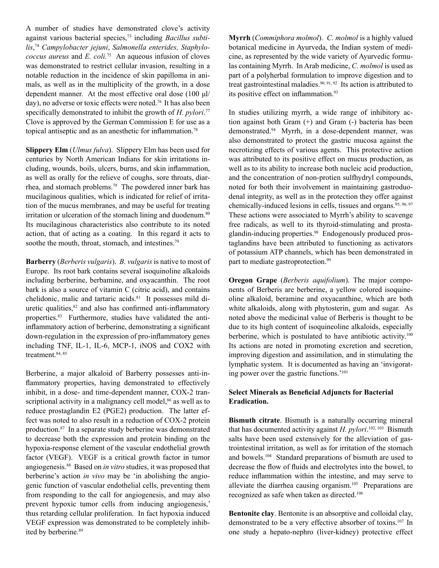A number of studies have demonstrated clove's activity against various bacterial species,73 including *Bacillus subtilis*, <sup>74</sup> *Campylobacter jejuni*, *Salmonella enterides, Staphylococcus aureus* and *E. coli.*75 An aqueous infusion of cloves was demonstrated to restrict cellular invasion, resulting in a notable reduction in the incidence of skin papilloma in animals, as well as in the multiplicity of the growth, in a dose dependent manner. At the most effective oral dose (100 μl/ day), no adverse or toxic effects were noted.<sup>76</sup> It has also been specifically demonstrated to inhibit the growth of *H. pylori*. 77 Clove is approved by the German Commission E for use as a topical antiseptic and as an anesthetic for inflammation.<sup>78</sup>

**Slippery Elm** (*Ulmus fulva*). Slippery Elm has been used for centuries by North American Indians for skin irritations including, wounds, boils, ulcers, burns, and skin inflammation, as well as orally for the relieve of coughs, sore throats, diarrhea, and stomach problems.79 The powdered inner bark has mucilaginous qualities, which is indicated for relief of irritation of the mucus membranes, and may be useful for treating irritation or ulceration of the stomach lining and duodenum.<sup>80</sup> Its mucilaginous characteristics also contribute to its noted action, that of acting as a coating. In this regard it acts to soothe the mouth, throat, stomach, and intestines.<sup>79</sup>

**Barberry** (*Berberis vulgaris*). *B. vulgaris* is native to most of Europe. Its root bark contains several isoquinoline alkaloids including berberine, berbamine, and oxyacanthin. The root bark is also a source of vitamin C (citric acid), and contains chelidonic, malic and tartaric acids.<sup>81</sup> It possesses mild diuretic qualities, $82$  and also has confirmed anti-inflammatory properties.<sup>83</sup> Furthermore, studies have validated the antiinflammatory action of berberine, demonstrating a significant down-regulation in the expression of pro-inflammatory genes including TNF, IL-1, IL-6, MCP-1, iNOS and COX2 with treatment.<sup>84, 85</sup>

Berberine, a major alkaloid of Barberry possesses anti-inflammatory properties, having demonstrated to effectively inhibit, in a dose- and time-dependent manner, COX-2 transcriptional activity in a malignancy cell model,<sup>86</sup> as well as to reduce prostaglandin E2 (PGE2) production. The latter effect was noted to also result in a reduction of COX-2 protein production.87 In a separate study berberine was demonstrated to decrease both the expression and protein binding on the hypoxia-response element of the vascular endothelial growth factor (VEGF). VEGF is a critical growth factor in tumor angiogenesis.88 Based on *in vitro* studies, it was proposed that berberine's action *in vivo* may be 'in abolishing the angiogenic function of vascular endothelial cells, preventing them from responding to the call for angiogenesis, and may also prevent hypoxic tumor cells from inducing angiogenesis,' thus retarding cellular proliferation. In fact hypoxia induced VEGF expression was demonstrated to be completely inhibited by berberine.<sup>89</sup>

**Myrrh** (*Commiphora molmol*). *C. molmol* is a highly valued botanical medicine in Ayurveda, the Indian system of medicine, as represented by the wide variety of Ayurvedic formulas containing Myrrh. In Arab medicine, *C. molmol* is used as part of a polyherbal formulation to improve digestion and to treat gastrointestinal maladies.90, 91, 92 Its action is attributed to its positive effect on inflammation.<sup>93</sup>

In studies utilizing myrrh, a wide range of inhibitory action against both Gram (+) and Gram (-) bacteria has been demonstrated.94 Myrrh, in a dose-dependent manner, was also demonstrated to protect the gastric mucosa against the necrotizing effects of various agents. This protective action was attributed to its positive effect on mucus production, as well as to its ability to increase both nucleic acid production, and the concentration of non-protien sulfhydryl compounds, noted for both their involvement in maintaining gastroduodenal integrity, as well as in the protection they offer against chemically-induced lesions in cells, tissues and organs.<sup>95, 96, 97</sup> These actions were associated to Myrrh's ability to scavenge free radicals, as well to its thyroid-stimulating and prostaglandin-inducing properties.98 Endogenously produced prostaglandins have been attributed to functioning as activators of potassium ATP channels, which has been demonstrated in part to mediate gastroprotection.<sup>99</sup>

**Oregon Grape** (*Berberis aquifolium*). The major components of Berberis are berberine, a yellow colored isoquineoline alkaloid, beramine and oxyacanthine, which are both white alkaloids, along with phytosterin, gum and sugar. As noted above the medicinal value of Berberis is thought to be due to its high content of isoquineoline alkaloids, especially berberine, which is postulated to have antibiotic activity.<sup>100</sup> Its actions are noted in promoting excretion and secretion, improving digestion and assimilation, and in stimulating the lymphatic system. It is documented as having an 'invigorating power over the gastric functions.'101

## **Select Minerals as Beneficial Adjuncts for Bacterial Eradication.**

**Bismuth citrate**. Bismuth is a naturally occurring mineral that has documented activity against *H. pylori*. 102, 103 Bismuth salts have been used extensively for the alleviation of gastrointestinal irritation, as well as for irritation of the stomach and bowels.104 Standard preparations of bismuth are used to decrease the flow of fluids and electrolytes into the bowel, to reduce inflammation within the intestine, and may serve to alleviate the diarrhea causing organism.105 Preparations are recognized as safe when taken as directed.106

**Bentonite clay**. Bentonite is an absorptive and colloidal clay, demonstrated to be a very effective absorber of toxins.<sup>107</sup> In one study a hepato-nephro (liver-kidney) protective effect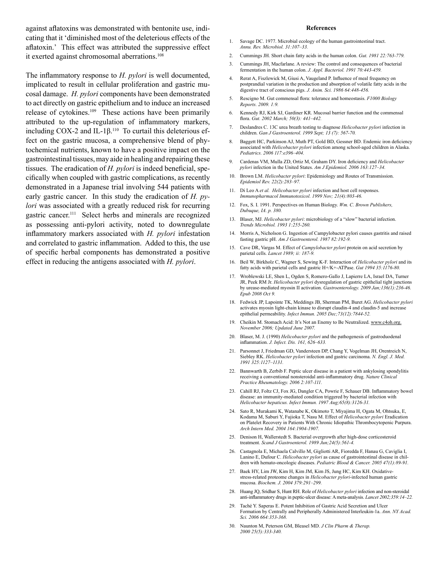against aflatoxins was demonstrated with bentonite use, indicating that it 'diminished most of the deleterious effects of the aflatoxin.' This effect was attributed the suppressive effect it exerted against chromosomal aberrations.<sup>108</sup>

The inflammatory response to *H. pylori* is well documented, implicated to result in cellular proliferation and gastric mucosal damage. *H. pylori* components have been demonstrated to act directly on gastric epithelium and to induce an increased release of cytokines.<sup>109</sup> These actions have been primarily attributed to the up-regulation of inflammatory markers, including COX-2 and IL-1β.110 To curtail this deleterious effect on the gastric mucosa, a comprehensive blend of phytochemical nutrients, known to have a positive impact on the gastrointestinal tissues, may aide in healing and repairing these tissues. The eradication of *H. pylori* is indeed beneficial, specifically when coupled with gastric complications, as recently demonstrated in a Japanese trial involving 544 patients with early gastric cancer. In this study the eradication of *H. pylori* was associated with a greatly reduced risk for recurring gastric cancer.111 Select herbs and minerals are recognized as possessing anti-pylori activity, noted to downregulate inflammatory markers associated with *H. pylori* infestation and correlated to gastric inflammation. Added to this, the use of specific herbal components has demonstrated a positive effect in reducing the antigens associated with *H. pylori*.

## **References**

- 1. Savage DC. 1977. Microbial ecology of the human gastrointestinal tract. *Annu. Rev. Microbiol. 31:107–33.*
- 2. Cummings JH. Short chain fatty acids in the human colon. *Gut. 1981 22:763-779.*
- 3. Cummings JH, Macfarlane. A review: The control and consequences of bacterial fermentation in the human colon. *J. Appl. Bacteriol. 1991 70:443-459.*
- 4. Rerat A, Fiszlewick M, Giusi A, Vaugeland P. Influence of meal frequency on postprandial variation in the production and absorption of volatile fatty acids in the digestive tract of conscious pigs. *J. Anim. Sci. 1986 64:448-456.*
- 5. Rescigno M. Gut commensal flora: tolerance and homeostasis. *F1000 Biology Reports. 2009. 1:9.*
- 6. Kennedy RJ, Kirk SJ, Gardiner KR. Mucosal barrier function and the commensal flora. *Gut. 2002 March; 50(3): 441–442.*
- 7. Deslandres C. 13C urea breath testing to diagnose *Helicobacter pylori* infection in children. *Gan J Gastroenterol. 1999 Sept; 13 (7): 567-70.*
- 8. Baggett HC, Parkinson AJ, Muth PT, Gold BD, Gessner BD. Endemic iron deficiency associated with *Helicobacter pylori* infection among school-aged children in Alaska. *Pediatrics. 2006 117:e396–404.*
- 9. Cardenas VM, Mulla ZD, Ortiz M, Graham DY. Iron deficiency and *Helicobacter pylori* infection in the United States. *Am J Epidemiol. 2006 163:127–34.*
- 10. Brown LM. *Helicobacter pylori*: Epidemiology and Routes of Transmission. *Epidemiol Rev. 22(2):283–97.*
- 11. Di Leo A *et al. Helicobacter pylori* infection and host cell responses. *Immunopharmacol Immunotoxicol. 1999 Nov; 21(4):803-46.*
- 12. Fox, S. I. 1991. Perspectives on Human Biology. *Wm. C. Brown Publishers, Dubuque, IA. p. 380.*
- 13. Blaser, MJ. *Helicobacter pylori*: microbiology of a "slow" bacterial infection. *Trends Microbiol. 1993 1:255-260.*
- 14. Morris A, Nicholson G. Ingestion of Campylobacter pylori causes gastritis and raised fasting gastric pH. *Am J Gastroenterol. 1987 82:192-9.*
- 15. Cave DR, Vargas M. Effect of *Campylobacter pylori* protein on acid secretion by parietal cells. *Lancet 1989; ii: 187-9.*
- 16. Beil W, Birkholz C, Wagner S, Sewing K-F. Interaction of *Helicobacter pylori* and its fatty acids with parietal cells and gastric H+/K+-ATPase. *Gut 1994 35:1176-80.*
- 17. Wroblewski LE, Shen L, Ogden S, Romero-Gallo J, Lapierre LA, Israel DA, Turner JR, Peek RM Jr. *Helicobacter pylori* dysregulation of gastric epithelial tight junctions by urease-mediated myosin II activation. *Gastroenterology. 2009 Jan;136(1):236-46. Epub 2008 Oct 9.*
- 18. Fedwick JP, Lapointe TK, Meddings JB, Sherman PM, Buret AG. *Helicobacter pylori* activates myosin light-chain kinase to disrupt claudin-4 and claudin-5 and increase epithelial permeability. *Infect Immun. 2005 Dec;73(12):7844-52.*
- 19. Cheikin M. Stomach Acid: It's Not an Enemy to Be Neutralized. www.c4oh.org. *November 2006; Updated June 2007.*
- 20. Blaser, M. J. (1990) *Helicobacter pylori* and the pathogenesis of gastroduodenal inflammation. *J. Infect. Dis. 161, 626–633.*
- 21. Parsonnet J, Friedman GD, Vandersteen DP, Chang Y, Vogelman JH, Orentreich N, Siebley RK. *Helicobacter pylori* infection and gastric carcinoma. *N. Engl. J. Med. 1991 325:1127–1131.*
- 22. Bannwarth B, Zerbib F. Peptic ulcer disease in a patient with ankylosing spondylitis receiving a conventional nonsteroidal anti-inflammatory drug. *Nature Clinical Practice Rheumatology. 2006 2:107-111.*
- 23. Cahill RJ, Foltz CJ, Fox JG, Dangler CA, Powrie F, Schauer DB. Inflammatory bowel disease: an immunity-mediated condition triggered by bacterial infection with *Helicobacter hepaticus. Infect Immun. 1997 Aug;65(8):3126-31.*
- 24. Sato R, Murakami K, Watanabe K, Okimoto T, Miyajima H, Ogata M, Ohtsuka, E, Kodama M, Saburi Y, Fujioka T, Nasu M. Effect of *Helicobacter pylori* Eradication on Platelet Recovery in Patients With Chronic Idiopathic Thrombocytopenic Purpura. *Arch Intern Med. 2004 164:1904-1907.*
- 25. Denison H, Wallerstedt S. Bacterial overgrowth after high-dose corticosteroid treatment. *Scand J Gastroenterol. 1989 Jun;24(5):561-4.*
- 26. Castagnola E, Michaela Calvillo M, Gigliotti AR, Fioredda F, Hanau G, Caviglia I, Lanino E, Dufour C. *Helicobacter pylori* as cause of gastrointestinal disease in children with hemato-oncologic diseases. *Pediatric Blood & Cancer. 2005 47(1):89-91.*
- 27. Baek HY, Lim JW, Kim H, Kim JM, Kim JS, Jung HC, Kim KH. Oxidativestress-related proteome changes in *Helicobacter pylori*-infected human gastric mucosa. *Biochem. J. 2004 379:291–299.*
- 28. Huang JQ, Sridhar S, Hunt RH. Role of *Helicobacter pylori* infection and non-steroidal anti-inflammatory drugs in peptic-ulcer disease: A meta-analysis. *Lancet 2002;359:14–22.*
- 29. Taché Y. Saperas E. Potent Inhibition of Gastric Acid Secretion and Ulcer Formation by Centrally and Peripherally Administered Interleukin-1a. *Ann. NY Acad. Sci. 2006 664:353-368.*
- 30. Naunton M, Peterson GM, Bleasel MD. *J Clin Pharm & Therap. 2000 25(5):333-340.*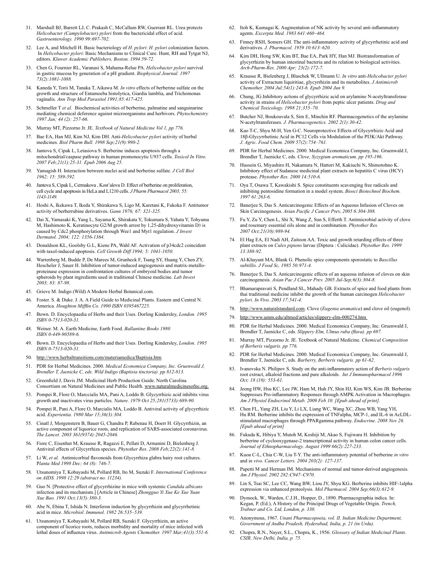- 31. Marshall BJ, Barrett LJ, C. Prakash C, McCallum RW, Guerrant RL. Urea protects *Helicobacter (Campylobacter) pylori* from the bactericidal effect of acid. *Gastroenterology. 1990 99:697-702.*
- 32. Lee A, and Mitchell H. Basic bacteriology of *H. pylori*: *H. pylori* colonization factors. In *Helicobacter pylori*: Basic Mechanisms to Clinical Cure. Hunt, RH and Tytgat NJ, editors. *Kluwer Academic Publishers, Boston. 1994 59-72.*
- 33. Chen G, Fournier RL, Varanasi S, Mahama-Relue PA. *Helicobacter pylori* survival in gastric mucosa by generation of a pH gradient. *Biophysical Journal. 1997 73(2):1081-1088.*
- 34. Kaneda Y, Torii M, Tanaka T, Aikawa M. *In vitro* effects of berberine sulfate on the growth and structure of Entamoeba histolytica, Giardia lamblia, and Trichomonas vaginalis. *Ann Trop Med Parasitol 1991;85:417-425.*
- 35. Schmeller T *et al.* Biochemical activities of berberine, palmatine and sanguinarine mediating chemical deference against microorganisms and herbivors. *Phytochemistry 1997 Jan; 44 (2): 257-66.*
- 36. Murray MT, Pizzorno Jr. JE. *Textbook of Natural Medicine Vol 1, pp 776.*
- 37. Bae EA, Han MJ, Kim NJ, Kim DH. Anti-*Helicobacter pylori* activity of herbal medicines. *Biol Pharm Bull. 1998 Sep;21(9):990-2.*
- Jantova S, Cipak L, Letasiova S. Berberine induces apoptosis through a mitochondrial/caspase pathway in human promonocytic U937 cells. *Toxicol In Vitro. 2007 Feb;21(1):25-31. Epub 2006 Aug 25.*
- 39. Yamagish H. Interaction between nuclei acid and berberine sulfate. *J Cell Biol 1962; 15: 589-592.*
- Jantova S, Cipak L, Cermakova , Kost'alova D. Effect of berberine on proliferation, cell cycle and apoptosis in HeLa and L1210 cells. *J Pharm Pharmacol 2003; 55: 1143-1149.*
- 41. Hoshi A, Ikekawa T, Ikeda Y, Shirakawa S, Ligo M, Karetani K, Fukoka F. Antitumor activity of berberrubine derivatives. *Gann 1976; 67: 321-325.*
- 42. Dai X, Yamasaki K, Yang L, Sayama K, Shirakata Y, Tokumara S, Yahata Y, Tohyama M, Hashimoto K. Keratinocyte G2/M growth arrest by 1,25-dihydroxyvitamin D3 is caused by Cdc2 phosphorylation through Wee1 and Myt1 regulation. *J Invest Dermatol. 2004; 122: 1356-1364.*
- 43. Donaldson KL, Goolsby G.L, Kiene PA, Wahl AF. Activation of p34cdc2 coincident with taxol-induced apoptosis. *Cell Growth Diff 1994; 5: 1041-1050.*
- 44. Wartenberg M, Budde P, De Marees M, Grunheck F, Tsang SY, Huang Y, Chen ZY, Hescheler J, Sauer H. Inhibition of tumor-induced angiogenesis and matrix-metalloproteinase expression in confrontation cultures of embryoid bodies and tumor spheroids by plant ingredients used in traditional Chinese medicine. *Lab Invest 2003; 83: 87-98.*
- 45. Grieve M. Indigo (Wild) A Modern Herbal Botanical.com.
- 46. Foster. S. & Duke. J. A. A Field Guide to Medicinal Plants. Eastern and Central N. America. *Houghton Mifflin Co. 1990 ISBN 0395467225.*
- 47. Bown. D. Encyclopaedia of Herbs and their Uses. Dorling Kindersley, *London. 1995 ISBN 0-7513-020-31.*
- 48. Weiner. M. A. Earth Medicine, Earth Food. *Ballantine Books 1980 ISBN 0-449-90589-6.*
- 49. Bown. D. Encyclopaedia of Herbs and their Uses. Dorling Kindersley, *London. 1995 ISBN 0-7513-020-31.*
- 50. http://www.herbaltransitions.com/materiamedica/Baptisia.htm
- 51. PDR for Herbal Medicines. 2000. *Medical Economica Company, Inc. Gruenwald J, Brendler T, Jaenicke C, eds. Wild Indigo (Baptisia tinctoria). pp 812-813.*
- 52. Greenfield J, Davis JM. Medicinal Herb Production Guide. North Carolina Consortium on Natural Medicines and Public Health. www.naturalmedicinesofnc.org.
- 53. Pompei R, Flore O, Marccialis MA, Pani A, Loddo B. Glycyrrhizic acid inhibits virus growth and inactivates virus particles. *Nature. 1979 Oct 25;281(5733):689-90.*
- 54. Pompei R, Pani A, Flore O, Marcialis MA, Loddo B. Antiviral activity of glycyrrhizic acid. *Experientia. 1980 Mar 15;36(3):304.*
- 55. Cinatl J, Morgenstern B, Bauer G, Chandra P, Rabenau H, Doerr H. Glycyrrhizin, an active component of liquorice roots, and replication of SARS-associated coronavirus. *The Lancet. 2003 361(9374):2045-2046.*
- 56. Fiore C, Eisenhut M, Krausse R, Ragazzi E, Pellati D, Armanini D, Bielenberg J. Antiviral effects of Glycyrrhiza species. *Phytother Res. 2008 Feb;22(2):141-8.*
- Li W, et al. Antimicorbial flavonoids from Glycyrrhiza glabra hairy root cultures. P*lanta Med 1998 Dec; 64 (8): 746-7.*
- 58. Utsunomiya T, Kobayashi M, Pollard RB, Ito M, Suzuki F. *International Conference on AIDS. 1998 12:29 (abstract no. 11234).*
- 59. Guo N. [Protective effect of glycyrrhizine in mice with systemic *Candida albicans*  infection and its mechanism.] [Article in Chinese] *Zhongguo Yi Xue Ke Xue Yuan Xue Bao. 1991 Oct;13(5):380-3.*
- Abe N, Ebina T, Ishida N. Interferon induction by glycyrrhizin and glycyrrhetinic acid in mice. *Microbiol. Immunol. 1982 26:535–539.*
- 61. Utsunomiya T, Kobayashi M, Pollard RB, Suzuki F. Glycyrrhizin, an active component of licorice roots, reduces morbidity and mortality of mice infected with lethal doses of influenza virus. *Antimicrob Agents Chemother. 1997 Mar;41(3):551-6.*
- 62. Itoh K, Kumagai K. Augmentation of NK activity by several anti-inflammatory agents. *Excerpta Med. 1983 641:460–464.*
- 63. Finney RSH, Somers GH. The anti-inflammatory activity of glycyrrhetinic acid and derivatives. *J. Pharmacol. 1959 10:613–620.*
- 64. Kim DH, Hong SW, Kim BT, Bae EA, Park HY, Han MJ. Biotransformation of glycyrrhizin by human intestinal bacteria and its relation to biological activities. *Arch-Pharm-Res. 2000 Apr; 23(2):172-7.*
- 65. Krausse R, Bielenberg J, Blaschek W, Ullmann U. *In vitro* anti-*Helicobacter pylori* activity of Extractum liquiritiae, glycyrrhizin and its metabolites. *J Antimicrob Chemother. 2004 Jul;54(1):243-6. Epub 2004 Jun 9.*
- 66. Chung, JG.Inhibitory actions of glycyrrhizic acid on arylamine N-acetyltransferase activity in strains of *Helicobacter pylori* from peptic ulcer patients. *Drug and Chemical Toxicology. 1998 21;355–70.*
- 67. Butcher NJ, Boukouvala S, Sim E, Minchin RF. Pharmacogenetics of the arylamine N-acetyltransferases. *J. Pharmacogenetics. 2002 2(1):30-42.*
- Kao T-C, Shyu M-H, Yen G-C. Neuroprotective Effects of Glycyrrhizic Acid and 18β-Glycyrrhetinic Acid in PC12 Cells via Modulation of the PI3K/Akt Pathway. *J. Agric. Food Chem. 2009 57(2):754–761.*
- 69. PDR for Herbal Medicines. 2000. Medical Economica Company, Inc. Gruenwald J, Brendler T, Jaenicke C, eds. *Clove, Syzygium aromaticum. pp 195-196*.
- 70. Hussein G, Miyashiro H, Nakamura N, Hattori M, Kakiuchi N, Shimotohno K. Inhibitory effect of Sudanese medicinal plant extracts on hepatitis C virus (HCV) protease. *Phytother Res. 2000 14:510-6.*
- 71. Oya T, Osawa T, Kawakishi S. Spice constituents scavenging free radicals and inhibiting pentosidine formation in a model system. *Biosci Biotechnol Biochem. 1997 61:263-6.*
- 72. Banerjee S, Das S. Anticarcinogenic Effects of an Aqueous Infusion of Cloves on Skin Carcinogenesis. *Asian Pacific J Cancer Prev, 2005 6:304-308.*
- 73. Fu Y, Zu Y, Chen L, Shi X, Wang Z, Sun S, Efferth T. Antimicrobial activity of clove and rosemary essential oils alone and in combination. *Phytother Res. 2007 Oct;21(10):989-94.*
- 74. El Hag EA, El Nadi AH, Zaitoon AA. Toxic and growth retarding effects of three plant extracts on *Culex pipiens* larvae (Diptera : Culicidae). *Phytother Res. 1999 13:388-92.*
- 75. Al-Khayant MA, Blank G. Phenolic spice components sporostatic to *Bascillus subtillis. J Food Sc, 1985 50:971-4.*
- 76. Banerjee S, Das S. Anticarcinogenic effects of an aqueous infusion of cloves on skin carcinogenesis. *Asian Pac J Cancer Prev. 2005 Jul-Sep;6(3):304-8.*
- 77. Bhamarapravati S, Pendland SL, Mahady GB. Extracts of spice and food plants from thai traditional medicine inhibit the growth of the human carcinogen *Helicobacter pylori. In Vivo. 2003 17:541-4.*
- 78. http://www.naturalstandard.com. Clove (*Eugenia aromatica*) and clove oil (eugenol).
- http://www.umm.edu/altmed/articles/slippery-elm-000274.htm
- 80. PDR for Herbal Medicines. 2000. Medical Economica Company, Inc. Gruenwald J, Brendler T, Jaenicke C, eds. *Slippery Elm, Ulmus ruba (fluva). pp 697.*
- 81. Murray MT, Pizzorno Jr. JE. Textbook of Natural Medicine. *Chemical Composition of Berberis vulgaris. pp 776.*
- 82. PDR for Herbal Medicines. 2000. Medical Economica Company, Inc. Gruenwald J, Brendler T, Jaenicke C, eds. *Barberry, Berberis vulgaris. pp 61-62*.
- 83. Ivanovska N. Philipov S. Study on the anti-inflammatory action of *Berberis vulgaris* root extract, alkaloid fractions and pure alkaloids. *Int J Immunopharmacol 1996 Oct; 18 (10): 553-61.*
- 84. Jeong HW, Hsu KC, Lee JW, Ham M, Huh JY, Shin HJ, Kim WS, Kim JB. Berberine Suppresses Pro-inflammatory Responses through AMPK Activation in Macrophages. *Am J Physiol Endocrinol Metab. 2009 Feb 10. [Epub ahead of print].*
- 85. Chen FL, Yang ZH, Liu Y, Li LX, Liang WC, Wang XC, Zhou WB, Yang YH, Hu RM. Berberine inhibits the expression of TNFalpha, MCP-1, and IL-6 in AcLDLstimulated macrophages through PPARgamma pathway. *Endocrine. 2008 Nov 26. [Epub ahead of print]*
- 86. Fukuda K, Hibiya Y, Mutoh M, Koshiji M, Akao S, Fujiwara H. Inhibition by berberine of cyclooxygenase-2 transcriptional activity in human colon cancer cells. *Journal of Ethnopharmacology. August 1999 66(2):227-233.*
- 87. Kuoa C-L, Chia C-W, Liu T-Y. The anti-inflammatory potential of berberine *in vitro* and i*n vivo. Cancer Letters. 2004 203(2): 127-137.*
- 88. Papetti M and Herman IM. Mechanisms of normal and tumor-derived angiogenesis. *Am J Physiol. 2002 282:C947–C970.*
- 89. Lin S, Tsai SC, Lee CC, Wang BW, Liou JY, Shyu KG. Berberine inhibits HIF-1alpha expression via enhanced proteolysis. *Mol Pharmacol. 2004 Sep;66(3):612-9.*
- 90. Dymock, W., Warden, C.J.H., Hopper, D., 1890. Pharmacographia indica. In: Kegan, P. (Ed.), A History of the Principal Drugs of Vegetable Origin. *Trench, Trubner and Co. Ltd, London, p. 330.*
- 91. Anonymous, 1967. *Unani Pharmacopoeia, vol. II. Indian Medicine Department, Government of Andha Pradesh, Hyderabad, India, p. 21 (in Urdu).*
- 92. Chopra, R.N., Nayer, S.L., Chopra, K., 1956. *Glossary of Indian Medicinal Plants. CSIR, New Delhi, India, p. 75.*